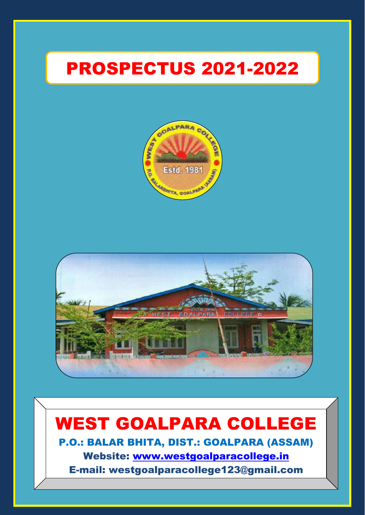# PROSPECTUS 2021-2022





# WEST GOALPARA COLLEGE

West Goalpara College Goalpara College Goalpara College Goalpara College Goalpara College Goalpara College Goalpara College Goalpara College Goalpara College Goalpara College Goalpara College Goalpara College Goalpara Coll

P.O.: BALAR BHITA, DIST.: GOALPARA (ASSAM) Website: [www.westgoalparacollege.in](http://www.westgoalparacollege.in/) E-mail: westgoalparacollege123@gmail.com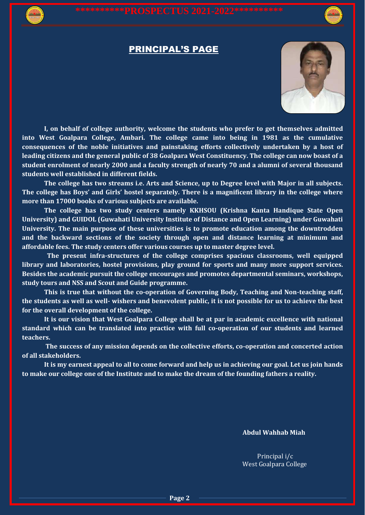### PRINCIPAL'S PAGE



**I, on behalf of college authority, welcome the students who prefer to get themselves admitted into West Goalpara College, Ambari. The college came into being in 1981 as the cumulative consequences of the noble initiatives and painstaking efforts collectively undertaken by a host of leading citizens and the general public of 38 Goalpara West Constituency. The college can now boast of a student enrolment of nearly 2000 and a faculty strength of nearly 70 and a alumni of several thousand students well established in different fields.**

**The college has two streams i.e. Arts and Science, up to Degree level with Major in all subjects. The college has Boys' and Girls' hostel separately. There is a magnificent library in the college where more than 17000 books of various subjects are available.**

**The college has two study centers namely KKHSOU (Krishna Kanta Handique State Open University) and GUIDOL (Guwahati University Institute of Distance and Open Learning) under Guwahati University. The main purpose of these universities is to promote education among the downtrodden and the backward sections of the society through open and distance learning at minimum and affordable fees. The study centers offer various courses up to master degree level.**

 **The present infra-structures of the college comprises spacious classrooms, well equipped library and laboratories, hostel provisions, play ground for sports and many more support services. Besides the academic pursuit the college encourages and promotes departmental seminars, workshops, study tours and NSS and Scout and Guide programme.**

**This is true that without the co-operation of Governing Body, Teaching and Non-teaching staff, the students as well as well- wishers and benevolent public, it is not possible for us to achieve the best for the overall development of the college.**

**It is our vision that West Goalpara College shall be at par in academic excellence with national standard which can be translated into practice with full co-operation of our students and learned teachers.**

**The success of any mission depends on the collective efforts, co-operation and concerted action of all stakeholders.**

**It is my earnest appeal to all to come forward and help us in achieving our goal. Let us join hands to make our college one of the Institute and to make the dream of the founding fathers a reality.**

**Abdul Wahhab Miah**

 Principal i/c West Goalpara College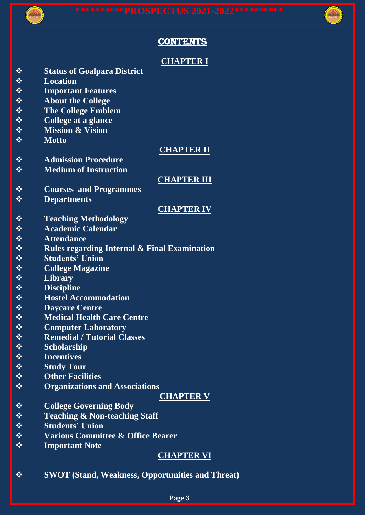

## **CONTENTS**

## **CHAPTER I Status of Goalpara District Location Important Features About the College The College Emblem College at a glance Mission & Vision Motto CHAPTER II Admission Procedure Medium of Instruction CHAPTER III Courses and Programmes Departments CHAPTER IV Teaching Methodology Academic Calendar Attendance Rules regarding Internal & Final Examination Students' Union College Magazine Library Discipline Hostel Accommodation Daycare Centre Medical Health Care Centre Computer Laboratory Remedial / Tutorial Classes Scholarship Incentives Study Tour Other Facilities Organizations and Associations CHAPTER V College Governing Body Teaching & Non-teaching Staff Students' Union Various Committee & Office Bearer Important Note**

# **CHAPTER VI**

**SWOT (Stand, Weakness, Opportunities and Threat)**

**Page 3**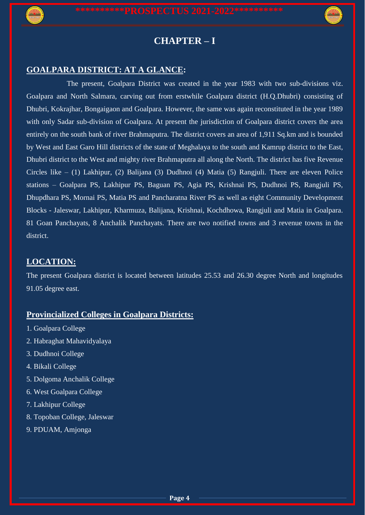



# **CHAPTER – I**

## **GOALPARA DISTRICT: AT A GLANCE:**

 The present, Goalpara District was created in the year 1983 with two sub-divisions viz. Goalpara and North Salmara, carving out from erstwhile Goalpara district (H.Q.Dhubri) consisting of Dhubri, Kokrajhar, Bongaigaon and Goalpara. However, the same was again reconstituted in the year 1989 with only Sadar sub-division of Goalpara. At present the jurisdiction of Goalpara district covers the area entirely on the south bank of river Brahmaputra. The district covers an area of 1,911 Sq.km and is bounded by West and East Garo Hill districts of the state of Meghalaya to the south and Kamrup district to the East, Dhubri district to the West and mighty river Brahmaputra all along the North. The district has five Revenue Circles like – (1) Lakhipur, (2) Balijana (3) Dudhnoi (4) Matia (5) Rangjuli. There are eleven Police stations – Goalpara PS, Lakhipur PS, Baguan PS, Agia PS, Krishnai PS, Dudhnoi PS, Rangjuli PS, Dhupdhara PS, Mornai PS, Matia PS and Pancharatna River PS as well as eight Community Development Blocks - Jaleswar, Lakhipur, Kharmuza, Balijana, Krishnai, Kochdhowa, Rangjuli and Matia in Goalpara. 81 Goan Panchayats, 8 Anchalik Panchayats. There are two notified towns and 3 revenue towns in the district.

## **LOCATION:**

The present Goalpara district is located between latitudes 25.53 and 26.30 degree North and longitudes 91.05 degree east.

# **Provincialized Colleges in Goalpara Districts:**

- 1. Goalpara College
- 2. Habraghat Mahavidyalaya
- 3. Dudhnoi College
- 4. Bikali College
- 5. Dolgoma Anchalik College
- 6. West Goalpara College
- 7. Lakhipur College
- 8. Topoban College, Jaleswar
- 9. PDUAM, Amjonga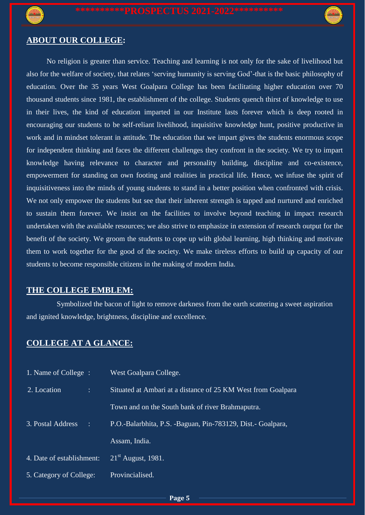

### **ABOUT OUR COLLEGE:**

 No religion is greater than service. Teaching and learning is not only for the sake of livelihood but also for the welfare of society, that relates 'serving humanity is serving God'-that is the basic philosophy of education. Over the 35 years West Goalpara College has been facilitating higher education over 70 thousand students since 1981, the establishment of the college. Students quench thirst of knowledge to use in their lives, the kind of education imparted in our Institute lasts forever which is deep rooted in encouraging our students to be self-reliant livelihood, inquisitive knowledge hunt, positive productive in work and in mindset tolerant in attitude. The education that we impart gives the students enormous scope for independent thinking and faces the different challenges they confront in the society. We try to impart knowledge having relevance to character and personality building, discipline and co-existence, empowerment for standing on own footing and realities in practical life. Hence, we infuse the spirit of inquisitiveness into the minds of young students to stand in a better position when confronted with crisis. We not only empower the students but see that their inherent strength is tapped and nurtured and enriched to sustain them forever. We insist on the facilities to involve beyond teaching in impact research undertaken with the available resources; we also strive to emphasize in extension of research output for the benefit of the society. We groom the students to cope up with global learning, high thinking and motivate them to work together for the good of the society. We make tireless efforts to build up capacity of our students to become responsible citizens in the making of modern India.

### **THE COLLEGE EMBLEM:**

Symbolized the bacon of light to remove darkness from the earth scattering a sweet aspiration and ignited knowledge, brightness, discipline and excellence.

### **COLLEGE AT A GLANCE:**

| 1. Name of College :      | West Goalpara College.                                       |
|---------------------------|--------------------------------------------------------------|
| 2. Location<br>÷          | Situated at Ambari at a distance of 25 KM West from Goalpara |
|                           | Town and on the South bank of river Brahmaputra.             |
| 3. Postal Address<br>÷    | P.O.-Balarbhita, P.S. -Baguan, Pin-783129, Dist. - Goalpara, |
|                           | Assam, India.                                                |
| 4. Date of establishment: | $21st$ August, 1981.                                         |
| 5. Category of College:   | Provincialised.                                              |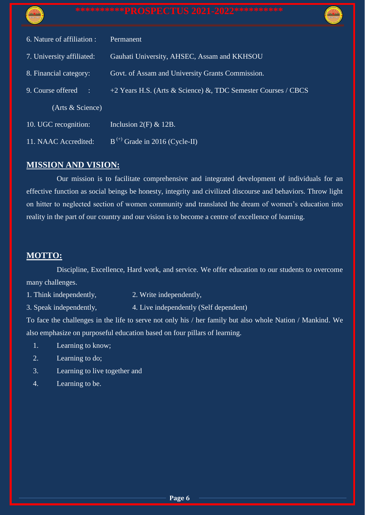| Estd. 1981 |  |
|------------|--|
|            |  |

| 6. Nature of affiliation :      | Permanent                                                     |
|---------------------------------|---------------------------------------------------------------|
| 7. University affiliated:       | Gauhati University, AHSEC, Assam and KKHSOU                   |
| 8. Financial category:          | Govt. of Assam and University Grants Commission.              |
| 9. Course offered<br>$\sim 100$ | +2 Years H.S. (Arts & Science) &, TDC Semester Courses / CBCS |
| (Arts & Science)                |                                                               |
| 10. UGC recognition:            | Inclusion $2(F) \& 12B$ .                                     |
| 11. NAAC Accredited:            | $B^{(+)}$ Grade in 2016 (Cycle-II)                            |

## **MISSION AND VISION:**

Our mission is to facilitate comprehensive and integrated development of individuals for an effective function as social beings be honesty, integrity and civilized discourse and behaviors. Throw light on hitter to neglected section of women community and translated the dream of women's education into reality in the part of our country and our vision is to become a centre of excellence of learning.

### **MOTTO:**

Discipline, Excellence, Hard work, and service. We offer education to our students to overcome many challenges.

1. Think independently, 2. Write independently,

3. Speak independently, 4. Live independently (Self dependent)

To face the challenges in the life to serve not only his / her family but also whole Nation / Mankind. We also emphasize on purposeful education based on four pillars of learning.

- 1. Learning to know;
- 2. Learning to do;
- 3. Learning to live together and
- 4. Learning to be.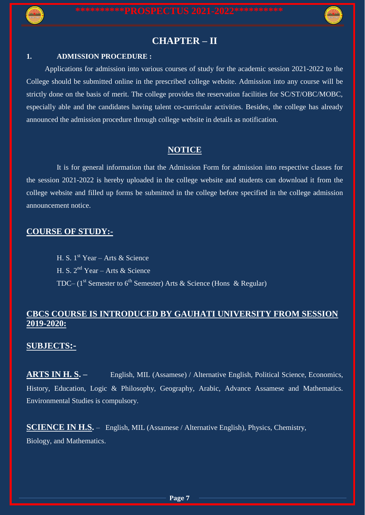

# **CHAPTER – II**

### **1. ADMISSION PROCEDURE :**

 Applications for admission into various courses of study for the academic session 2021-2022 to the College should be submitted online in the prescribed college website. Admission into any course will be strictly done on the basis of merit. The college provides the reservation facilities for SC/ST/OBC/MOBC, especially able and the candidates having talent co-curricular activities. Besides, the college has already announced the admission procedure through college website in details as notification.

### **NOTICE**

It is for general information that the Admission Form for admission into respective classes for the session 2021-2022 is hereby uploaded in the college website and students can download it from the college website and filled up forms be submitted in the college before specified in the college admission announcement notice.

### **COURSE OF STUDY:-**

H. S.  $1^{st}$  Year – Arts & Science H. S.  $2^{nd}$  Year – Arts & Science TDC– (1<sup>st</sup> Semester to 6<sup>th</sup> Semester) Arts & Science (Hons & Regular)

### **CBCS COURSE IS INTRODUCED BY GAUHATI UNIVERSITY FROM SESSION 2019-2020:**

### **SUBJECTS:-**

**ARTS IN H. S. –** English, MIL (Assamese) / Alternative English, Political Science, Economics, History, Education, Logic & Philosophy, Geography, Arabic, Advance Assamese and Mathematics. Environmental Studies is compulsory.

**SCIENCE IN H.S.** – English, MIL (Assamese / Alternative English), Physics, Chemistry, Biology, and Mathematics.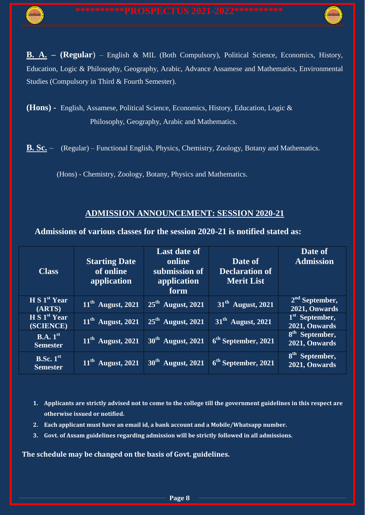**B. A. – (Regular**) – English & MIL (Both Compulsory), Political Science, Economics, History, Education, Logic & Philosophy, Geography, Arabic, Advance Assamese and Mathematics, Environmental Studies (Compulsory in Third & Fourth Semester).

**(Hons) -** English, Assamese, Political Science, Economics, History, Education, Logic & Philosophy, Geography, Arabic and Mathematics.

**B. Sc.** – (Regular) – Functional English, Physics, Chemistry, Zoology, Botany and Mathematics.

(Hons) - Chemistry, Zoology, Botany, Physics and Mathematics.

### **ADMISSION ANNOUNCEMENT: SESSION 2020-21**

**Admissions of various classes for the session 2020-21 is notified stated as:**

| <b>Class</b>                            | <b>Starting Date</b><br>of online<br>application | <b>Last date of</b><br>online<br>submission of<br>application<br>form | Date of<br><b>Declaration of</b><br><b>Merit List</b> | Date of<br><b>Admission</b>                 |
|-----------------------------------------|--------------------------------------------------|-----------------------------------------------------------------------|-------------------------------------------------------|---------------------------------------------|
| H S 1 <sup>st</sup> Year<br>(ARTS)      | $11th$ August, 2021                              | $25th$ August, 2021                                                   | $31th$ August, 2021                                   | $2nd$ September,<br>2021, Onwards           |
| H S 1 <sup>st</sup> Year<br>(SCIENCE)   | $11th$ August, 2021                              | $25th$ August, 2021                                                   | $31th$ August, 2021                                   | 1 <sup>st</sup> September,<br>2021, Onwards |
| B.A.1 <sup>st</sup><br><b>Semester</b>  | $11th$ August, 2021                              | $30th$ August, 2021                                                   | $6th$ September, 2021                                 | 8 <sup>th</sup> September,<br>2021, Onwards |
| B.Sc.1 <sup>st</sup><br><b>Semester</b> | $11th$ August, 2021                              | $30th$ August, 2021                                                   | $6th$ September, 2021                                 | 8 <sup>th</sup> September,<br>2021, Onwards |

- **1. Applicants are strictly advised not to come to the college till the government guidelines in this respect are otherwise issued or notified.**
- **2. Each applicant must have an email id, a bank account and a Mobile/Whatsapp number.**
- **3. Govt. of Assam guidelines regarding admission will be strictly followed in all admissions.**

**The schedule may be changed on the basis of Govt. guidelines.**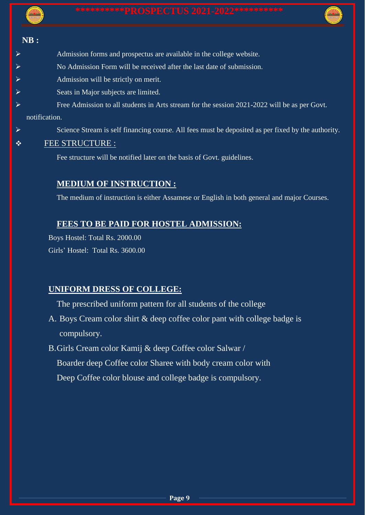### **NB :**

- Admission forms and prospectus are available in the college website.
	- No Admission Form will be received after the last date of submission.
	- Admission will be strictly on merit.
- $\triangleright$  Seats in Major subjects are limited.
- Free Admission to all students in Arts stream for the session 2021-2022 will be as per Govt.

### notification.

Science Stream is self financing course. All fees must be deposited as per fixed by the authority.

## $\div$  FEE STRUCTURE :

Fee structure will be notified later on the basis of Govt. guidelines.

# **MEDIUM OF INSTRUCTION :**

The medium of instruction is either Assamese or English in both general and major Courses.

## **FEES TO BE PAID FOR HOSTEL ADMISSION:**

Boys Hostel: Total Rs. 2000.00 Girls' Hostel: Total Rs. 3600.00

## **UNIFORM DRESS OF COLLEGE:**

The prescribed uniform pattern for all students of the college

- A. Boys Cream color shirt & deep coffee color pant with college badge is compulsory.
- B.Girls Cream color Kamij & deep Coffee color Salwar / Boarder deep Coffee color Sharee with body cream color with Deep Coffee color blouse and college badge is compulsory.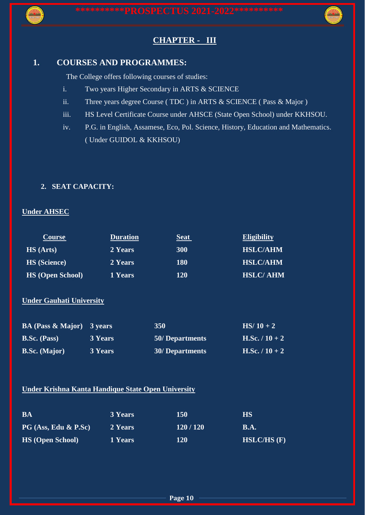



# **CHAPTER - III**

### **1. COURSES AND PROGRAMMES:**

The College offers following courses of studies:

- i. Two years Higher Secondary in ARTS & SCIENCE
- ii. Three years degree Course ( TDC ) in ARTS & SCIENCE ( Pass & Major )
- iii. HS Level Certificate Course under AHSCE (State Open School) under KKHSOU.
- iv. P.G. in English, Assamese, Eco, Pol. Science, History, Education and Mathematics. ( Under GUIDOL & KKHSOU)

### **2. SEAT CAPACITY:**

### **Under AHSEC**

| <b>Course</b>           | <b>Duration</b> | <b>Seat</b> | <b>Eligibility</b> |
|-------------------------|-----------------|-------------|--------------------|
| <b>HS</b> (Arts)        | 2 Years         | <b>300</b>  | <b>HSLC/AHM</b>    |
| <b>HS</b> (Science)     | 2 Years         | <b>180</b>  | <b>HSLC/AHM</b>    |
| <b>HS</b> (Open School) | 1 Years         | 120         | <b>HSLC/AHM</b>    |

### **Under Gauhati University**

| <b>BA (Pass &amp; Major)</b> 3 years |         | <b>350</b>             | $HS/10 + 2$      |
|--------------------------------------|---------|------------------------|------------------|
| <b>B.Sc.</b> (Pass)                  | 3 Years | 50/Departments         | H.Sc. $/ 10 + 2$ |
| <b>B.Sc.</b> (Major)                 | 3 Years | <b>30/ Departments</b> | $H.Sc. / 10 + 2$ |

### **Under Krishna Kanta Handique State Open University**

| <b>BA</b>                 | <b>3 Years</b> | 150     | HS          |
|---------------------------|----------------|---------|-------------|
| $PG$ (Ass, Edu $\&$ P.Sc) | 2 Years        | 120/120 | <b>B.A.</b> |
| <b>HS</b> (Open School)   | 1 Years        | 120     | HSLC/HS (F) |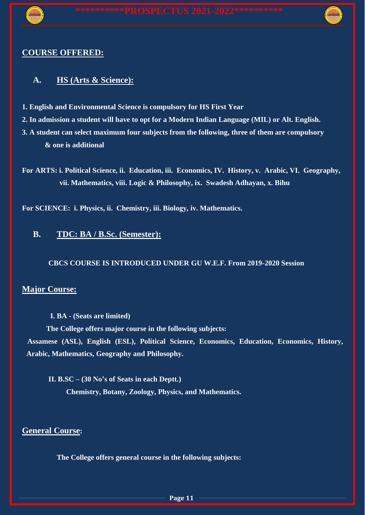

# **COURSE OFFERED:**

# **A. HS (Arts & Science):**

- **1. English and Environmental Science is compulsory for HS First Year**
- **2. In admission a student will have to opt for a Modern Indian Language (MIL) or Alt. English.**
- **3. A student can select maximum four subjects from the following, three of them are compulsory & one is additional**
- **For ARTS: i. Political Science, ii. Education, iii. Economics, IV. History, v. Arabic, VI. Geography, vii. Mathematics, viii. Logic & Philosophy, ix. Swadesh Adhayan, x. Bihu**

**For SCIENCE: i. Physics, ii. Chemistry, iii. Biology, iv. Mathematics.**

# **B. TDC: BA / B.Sc. (Semester):**

**CBCS COURSE IS INTRODUCED UNDER GU W.E.F. From 2019-2020 Session**

## **Major Course:**

**I. BA - (Seats are limited)**

**The College offers major course in the following subjects: Assamese (ASL), English (ESL), Political Science, Economics, Education, Economics, History, Arabic, Mathematics, Geography and Philosophy.** 

**II. B.SC – (30 No's of Seats in each Deptt.) Chemistry, Botany, Zoology, Physics, and Mathematics.**

## **General Course:**

**The College offers general course in the following subjects:**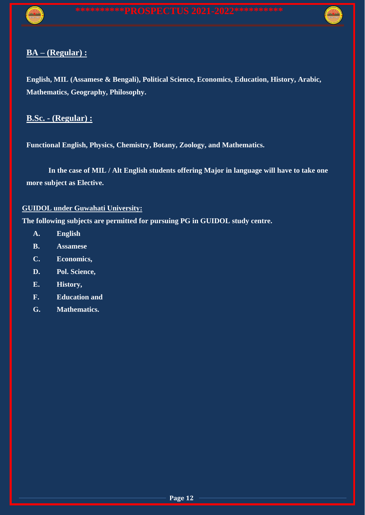

# **BA – (Regular) :**

**English, MIL (Assamese & Bengali), Political Science, Economics, Education, History, Arabic, Mathematics, Geography, Philosophy.**

## **B.Sc. - (Regular) :**

**Functional English, Physics, Chemistry, Botany, Zoology, and Mathematics.**

**In the case of MIL / Alt English students offering Major in language will have to take one more subject as Elective.**

### **GUIDOL under Guwahati University:**

**The following subjects are permitted for pursuing PG in GUIDOL study centre.**

- **A. English**
- **B. Assamese**
- **C. Economics,**
- **D. Pol. Science,**
- **E. History,**
- **F. Education and**
- **G. Mathematics.**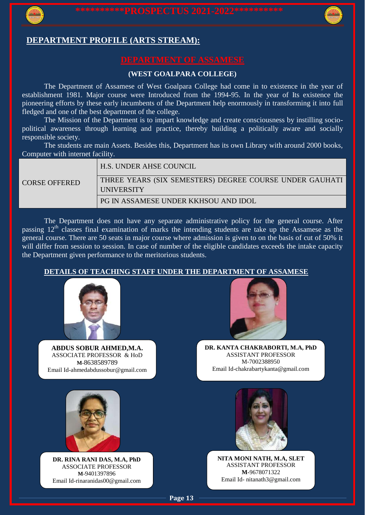

### **DEPARTMENT PROFILE (ARTS STREAM):**

### **(WEST GOALPARA COLLEGE)**

The Department of Assamese of West Goalpara College had come in to existence in the year of establishment 1981. Major course were Introduced from the 1994-95. In the year of Its existence the pioneering efforts by these early incumbents of the Department help enormously in transforming it into full fledged and one of the best department of the college.

The Mission of the Department is to impart knowledge and create consciousness by instilling sociopolitical awareness through learning and practice, thereby building a politically aware and socially responsible society.

The students are main Assets. Besides this, Department has its own Library with around 2000 books, Computer with internet facility.

|                      | H.S. UNDER AHSE COUNCIL                                 |
|----------------------|---------------------------------------------------------|
| <b>CORSE OFFERED</b> | THREE YEARS (SIX SEMESTERS) DEGREE COURSE UNDER GAUHATI |
|                      | UNIVERSITY                                              |
|                      | PG IN ASSAMESE UNDER KKHSOU AND IDOL                    |

The Department does not have any separate administrative policy for the general course. After passing  $12<sup>th</sup>$  classes final examination of marks the intending students are take up the Assamese as the general course. There are 50 seats in major course where admission is given to on the basis of cut of 50% it will differ from session to session. In case of number of the eligible candidates exceeds the intake capacity the Department given performance to the meritorious students.

### **DETAILS OF TEACHING STAFF UNDER THE DEPARTMENT OF ASSAMESE**



**ABDUS SOBUR AHMED,M.A.** ASSOCIATE PROFESSOR & HoD **M-**8638589789 Email Id-ahmedabdussobur@gmail.com



**DR. KANTA CHAKRABORTI, M.A, PhD** ASSISTANT PROFESSOR M-7002388950 Email Id-chakrabartykanta@gmail.com



**DR. RINA RANI DAS, M.A, PhD** ASSOCIATE PROFESSOR **M-**9401397896 Email Id-rinaranidas00@gmail.com



**NITA MONI NATH, M.A, SLET** ASSISTANT PROFESSOR **M-**9678071322 Email Id- nitanath3@gmail.com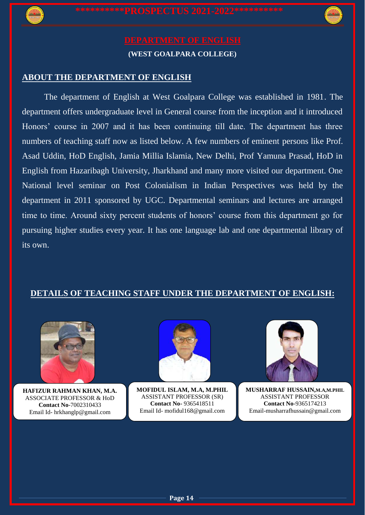



### **ABOUT THE DEPARTMENT OF ENGLISH**

The department of English at West Goalpara College was established in 1981. The department offers undergraduate level in General course from the inception and it introduced Honors' course in 2007 and it has been continuing till date. The department has three numbers of teaching staff now as listed below. A few numbers of eminent persons like Prof. Asad Uddin, HoD English, Jamia Millia Islamia, New Delhi, Prof Yamuna Prasad, HoD in English from Hazaribagh University, Jharkhand and many more visited our department. One National level seminar on Post Colonialism in Indian Perspectives was held by the department in 2011 sponsored by UGC. Departmental seminars and lectures are arranged time to time. Around sixty percent students of honors' course from this department go for pursuing higher studies every year. It has one language lab and one departmental library of its own.

### **DETAILS OF TEACHING STAFF UNDER THE DEPARTMENT OF ENGLISH:**



**HAFIZUR RAHMAN KHAN, M.A.** ASSOCIATE PROFESSOR & HoD **Contact No**-7002310433 Email Id- hrkhanglp@gmail.com



Email Id- mofidul168@gmail.com **MOFIDUL ISLAM, M.A, M.PHIL** ASSISTANT PROFESSOR (SR) **Contact No-** 9365418511



**MUSHARRAF HUSSAIN,M.A,M.PHIL** ASSISTANT PROFESSOR **Contact No**-9365174213 Email-musharrafhussain@gmail.com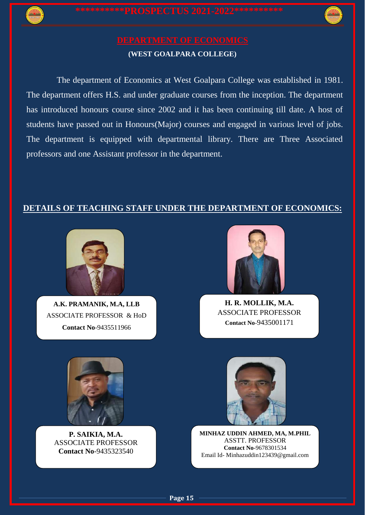

The department of Economics at West Goalpara College was established in 1981. The department offers H.S. and under graduate courses from the inception. The department has introduced honours course since 2002 and it has been continuing till date. A host of students have passed out in Honours(Major) courses and engaged in various level of jobs. The department is equipped with departmental library. There are Three Associated professors and one Assistant professor in the department.

## **DETAILS OF TEACHING STAFF UNDER THE DEPARTMENT OF ECONOMICS:**



**A.K. PRAMANIK, M.A, LLB** ASSOCIATE PROFESSOR & HoD **Contact No**-9435511966



**H. R. MOLLIK, M.A.** ASSOCIATE PROFESSOR **Contact No**-9435001171



**P. SAIKIA, M.A.** ASSOCIATE PROFESSOR **Contact No**-9435323540



**MINHAZ UDDIN AHMED, MA, M.PHIL** ASSTT. PROFESSOR **Contact No**-9678301534 Email Id- Minhazuddin123439@gmail.com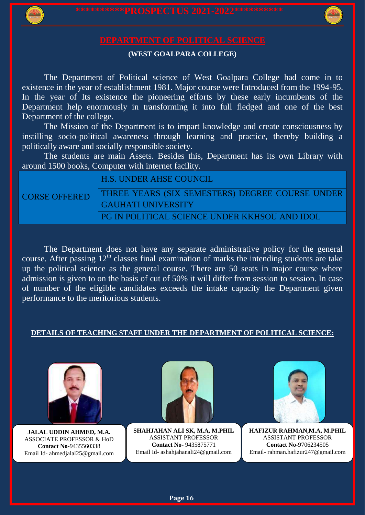

The Department of Political science of West Goalpara College had come in to existence in the year of establishment 1981. Major course were Introduced from the 1994-95. In the year of Its existence the pioneering efforts by these early incumbents of the Department help enormously in transforming it into full fledged and one of the best Department of the college.

The Mission of the Department is to impart knowledge and create consciousness by instilling socio-political awareness through learning and practice, thereby building a politically aware and socially responsible society.

The students are main Assets. Besides this, Department has its own Library with around 1500 books, Computer with internet facility.

## H.S. UNDER AHSE COUNCIL

CORSE OFFERED

THREE YEARS (SIX SEMESTERS) DEGREE COURSE UNDER GAUHATI UNIVERSITY

PG IN POLITICAL SCIENCE UNDER KKHSOU AND IDOL

The Department does not have any separate administrative policy for the general course. After passing  $12<sup>th</sup>$  classes final examination of marks the intending students are take up the political science as the general course. There are 50 seats in major course where admission is given to on the basis of cut of 50% it will differ from session to session. In case of number of the eligible candidates exceeds the intake capacity the Department given performance to the meritorious students.

### **DETAILS OF TEACHING STAFF UNDER THE DEPARTMENT OF POLITICAL SCIENCE:**



**JALAL UDDIN AHMED, M.A.** ASSOCIATE PROFESSOR & HoD **Contact No**-9435560338 Email Id- ahmedjalal25@gmail.com



**SHAHJAHAN ALI SK, M.A, M.PHIL** ASSISTANT PROFESSOR **Contact No-** 9435875771 Email Id- ashahjahanali24@gmail.com

**Page 16**



**HAFIZUR RAHMAN,M.A, M.PHIL** ASSISTANT PROFESSOR **Contact No**-9706234505 Email- rahman.hafizur247@gmail.com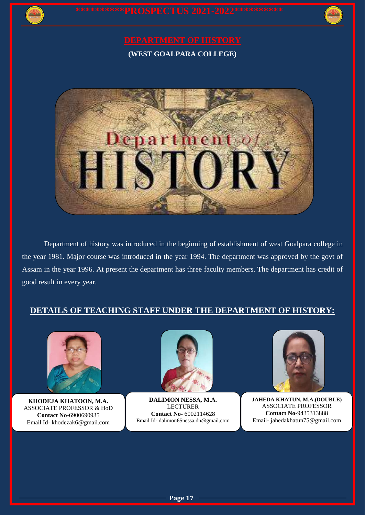



Department of history was introduced in the beginning of establishment of west Goalpara college in the year 1981. Major course was introduced in the year 1994. The department was approved by the govt of Assam in the year 1996. At present the department has three faculty members. The department has credit of good result in every year.

## **DETAILS OF TEACHING STAFF UNDER THE DEPARTMENT OF HISTORY:**



**KHODEJA KHATOON, M.A.** ASSOCIATE PROFESSOR & HoD **Contact No**-6900690935 Email Id- khodezak6@gmail.com



**DALIMON NESSA, M.A.** LECTURER **Contact No-** 6002114628 Email Id- dalimon65nessa.dn@gmail.com



**JAHEDA KHATUN, M.A.(DOUBLE)** ASSOCIATE PROFESSOR **Contact No**-9435313888 Email- jahedakhatun75@gmail.com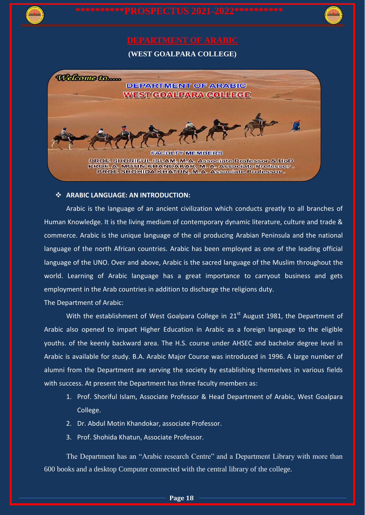

### $\div$  ARABIC LANGUAGE: AN INTRODUCTION:

Arabic is the language of an ancient civilization which conducts greatly to all branches of Human Knowledge. It is the living medium of contemporary dynamic literature, culture and trade & commerce. Arabic is the unique language of the oil producing Arabian Peninsula and the national language of the north African countries. Arabic has been employed as one of the leading official language of the UNO. Over and above, Arabic is the sacred language of the Muslim throughout the world. Learning of Arabic language has a great importance to carryout business and gets employment in the Arab countries in addition to discharge the religions duty.

The Department of Arabic:

With the establishment of West Goalpara College in  $21<sup>st</sup>$  August 1981, the Department of Arabic also opened to impart Higher Education in Arabic as a foreign language to the eligible youths. of the keenly backward area. The H.S. course under AHSEC and bachelor degree level in Arabic is available for study. B.A. Arabic Major Course was introduced in 1996. A large number of alumni from the Department are serving the society by establishing themselves in various fields with success. At present the Department has three faculty members as:

- 1. Prof. Shoriful Islam, Associate Professor & Head Department of Arabic, West Goalpara College.
- 2. Dr. Abdul Motin Khandokar, associate Professor.
- 3. Prof. Shohida Khatun, Associate Professor.

The Department has an "Arabic research Centre" and a Department Library with more than 600 books and a desktop Computer connected with the central library of the college.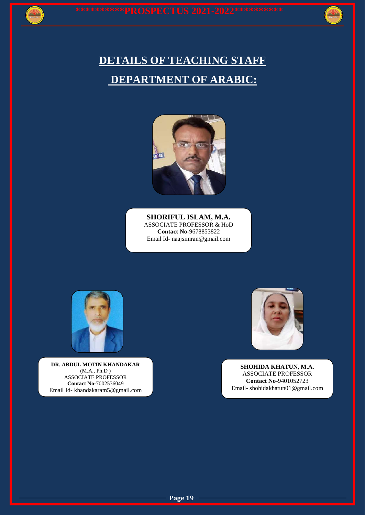# **DETAILS OF TEACHING STAFF DEPARTMENT OF ARABIC:**



**SHORIFUL ISLAM, M.A.** ASSOCIATE PROFESSOR & HoD **Contact No**-9678853822 Email Id- naajsimran@gmail.com



**DR. ABDUL MOTIN KHANDAKAR** (M.A., Ph.D ) ASSOCIATE PROFESSOR **Contact No-**7002536049 Email Id- khandakaram5@gmail.com



**SHOHIDA KHATUN, M.A.** ASSOCIATE PROFESSOR **Contact No**-9401052723 Email- shohidakhatun01@gmail.com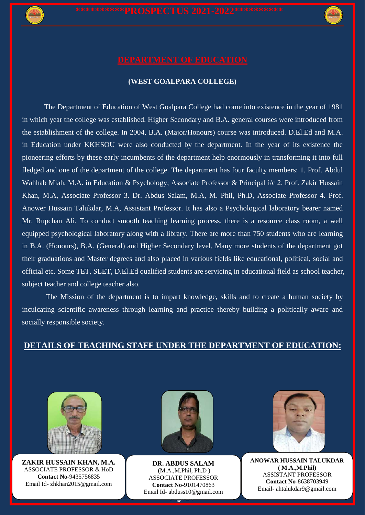

The Department of Education of West Goalpara College had come into existence in the year of 1981 in which year the college was established. Higher Secondary and B.A. general courses were introduced from the establishment of the college. In 2004, B.A. (Major/Honours) course was introduced. D.El.Ed and M.A. in Education under KKHSOU were also conducted by the department. In the year of its existence the pioneering efforts by these early incumbents of the department help enormously in transforming it into full fledged and one of the department of the college. The department has four faculty members: 1. Prof. Abdul Wahhab Miah, M.A. in Education & Psychology; Associate Professor & Principal i/c 2. Prof. Zakir Hussain Khan, M.A, Associate Professor 3. Dr. Abdus Salam, M.A, M. Phil, Ph.D, Associate Professor 4. Prof. Anower Hussain Talukdar, M.A, Assistant Professor. It has also a Psychological laboratory bearer named Mr. Rupchan Ali. To conduct smooth teaching learning process, there is a resource class room, a well equipped psychological laboratory along with a library. There are more than 750 students who are learning in B.A. (Honours), B.A. (General) and Higher Secondary level. Many more students of the department got their graduations and Master degrees and also placed in various fields like educational, political, social and official etc. Some TET, SLET, D.El.Ed qualified students are servicing in educational field as school teacher, subject teacher and college teacher also.

The Mission of the department is to impart knowledge, skills and to create a human society by inculcating scientific awareness through learning and practice thereby building a politically aware and socially responsible society.

## **DETAILS OF TEACHING STAFF UNDER THE DEPARTMENT OF EDUCATION:**



**ZAKIR HUSSAIN KHAN, M.A.** ASSOCIATE PROFESSOR & HoD **Contact No**-9435756835 Email Id- zhkhan2015@gmail.com



**Page 20 DR. ABDUS SALAM** (M.A.,M.Phil, Ph.D ) ASSOCIATE PROFESSOR **Contact No-**9101470863 Email Id- abduss10@gmail.com



**ANOWAR HUSSAIN TALUKDAR ( M.A.,M.Phil)** ASSISTANT PROFESSOR **Contact No**-8638703949 Email- ahtalukdar9@gmail.com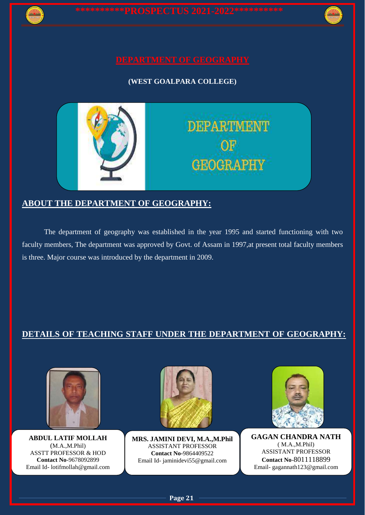

## **ABOUT THE DEPARTMENT OF GEOGRAPHY:**

The department of geography was established in the year 1995 and started functioning with two faculty members, The department was approved by Govt. of Assam in 1997,at present total faculty members is three. Major course was introduced by the department in 2009.

## **DETAILS OF TEACHING STAFF UNDER THE DEPARTMENT OF GEOGRAPHY:**



**ABDUL LATIF MOLLAH**  (M.A.,M.Phil) ASSTT PROFESSOR & HOD **Contact No**-9678092899 Email Id- lotifmollah@gmail.com



**MRS. JAMINI DEVI, M.A.,M.Phil** ASSISTANT PROFESSOR **Contact No-**9864409522 Email Id- jaminidevi55@gmail.com



**GAGAN CHANDRA NATH** ( M.A.,M.Phil) ASSISTANT PROFESSOR **Contact No**-8011118899 Email- gagannath123@gmail.com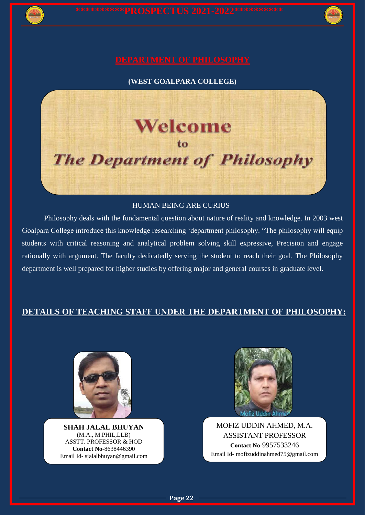

### HUMAN BEING ARE CURIUS

Philosophy deals with the fundamental question about nature of reality and knowledge. In 2003 west Goalpara College introduce this knowledge researching 'department philosophy. "The philosophy will equip students with critical reasoning and analytical problem solving skill expressive, Precision and engage rationally with argument. The faculty dedicatedly serving the student to reach their goal. The Philosophy department is well prepared for higher studies by offering major and general courses in graduate level.

### **DETAILS OF TEACHING STAFF UNDER THE DEPARTMENT OF PHILOSOPHY:**

**Page 22**



**SHAH JALAL BHUYAN** (M.A., M.PHIL,LLB) ASSTT. PROFESSOR & HOD **Contact No**-8638446390 Email Id- sjalalbhuyan@gmail.com



MOFIZ UDDIN AHMED, M.A. ASSISTANT PROFESSOR **Contact No**-9957533246 Email Id- mofizuddinahmed75@gmail.com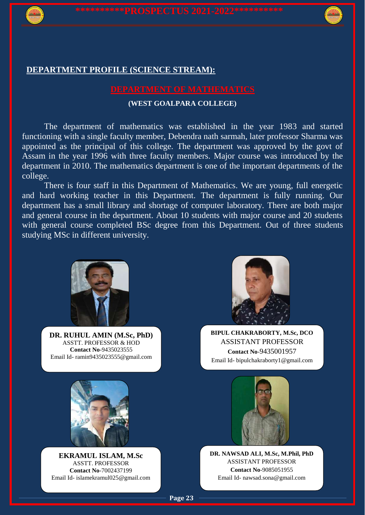

### **DEPARTMENT PROFILE (SCIENCE STREAM):**

### **(WEST GOALPARA COLLEGE)**

The department of mathematics was established in the year 1983 and started functioning with a single faculty member, Debendra nath sarmah, later professor Sharma was appointed as the principal of this college. The department was approved by the govt of Assam in the year 1996 with three faculty members. Major course was introduced by the department in 2010. The mathematics department is one of the important departments of the college.

There is four staff in this Department of Mathematics. We are young, full energetic and hard working teacher in this Department. The department is fully running. Our department has a small library and shortage of computer laboratory. There are both major and general course in the department. About 10 students with major course and 20 students with general course completed BSc degree from this Department. Out of three students studying MSc in different university.



**DR. RUHUL AMIN (M.Sc, PhD)** ASSTT. PROFESSOR & HOD **Contact No**-9435023555 Email Id- ramin9435023555@gmail.com



**BIPUL CHAKRABORTY, M.Sc, DCO** ASSISTANT PROFESSOR **Contact No**-9435001957 Email Id- bipulchakraborty1@gmail.com



**EKRAMUL ISLAM, M.Sc** ASSTT. PROFESSOR **Contact No**-7002437199 Email Id- islamekramul025@gmail.com



**DR. NAWSAD ALI, M.Sc, M.Phil, PhD** ASSISTANT PROFESSOR **Contact No**-9085051955 Email Id- nawsad.sona@gmail.com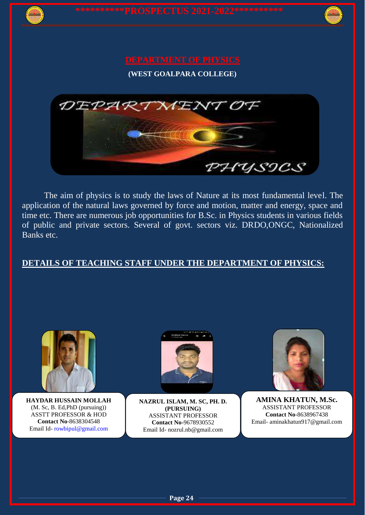

# **DEPARTMENT OF PHYSICS**

**(WEST GOALPARA COLLEGE)**



The aim of physics is to study the laws of Nature at its most fundamental level. The application of the natural laws governed by force and motion, matter and energy, space and time etc. There are numerous job opportunities for B.Sc. in Physics students in various fields of public and private sectors. Several of govt. sectors viz. DRDO,ONGC, Nationalized Banks etc.

## **DETAILS OF TEACHING STAFF UNDER THE DEPARTMENT OF PHYSICS:**



**HAYDAR HUSSAIN MOLLAH**  (M. Sc, B. Ed,PhD (pursuing)) ASSTT PROFESSOR & HOD **Contact No**-8638304548 Email Id- [rowbipul@gmail.com](mailto:rowbipul@gmail.com)



**NAZRUL ISLAM, M. SC, PH. D. (PURSUING)** ASSISTANT PROFESSOR **Contact No-**9678930552 Email Id- nozrul.nb@gmail.com



**AMINA KHATUN, M.Sc.** ASSISTANT PROFESSOR **Contact No**-8638967438 Email- aminakhatun917@gmail.com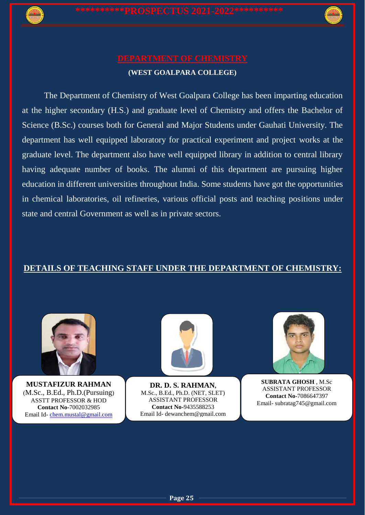

The Department of Chemistry of West Goalpara College has been imparting education at the higher secondary (H.S.) and graduate level of Chemistry and offers the Bachelor of Science (B.Sc.) courses both for General and Major Students under Gauhati University. The department has well equipped laboratory for practical experiment and project works at the graduate level. The department also have well equipped library in addition to central library having adequate number of books. The alumni of this department are pursuing higher education in different universities throughout India. Some students have got the opportunities in chemical laboratories, oil refineries, various official posts and teaching positions under state and central Government as well as in private sectors.

## **DETAILS OF TEACHING STAFF UNDER THE DEPARTMENT OF CHEMISTRY:**



**MUSTAFIZUR RAHMAN** (M.Sc., B.Ed., Ph.D.(Pursuing) ASSTT PROFESSOR & HOD **Contact No**-7002032985 Email Id- [chem.mustal@gmail.com](mailto:chem.mustal@gmail.com)



**DR. D. S. RAHMAN,** M.Sc., B.Ed., Ph.D. (NET, SLET) ASSISTANT PROFESSOR **Contact No-**9435588253 Email Id- dewanchem@gmail.com



**SUBRATA GHOSH** , M.Sc ASSISTANT PROFESSOR **Contact No**-7086647397 Email- subratag745@gmail.com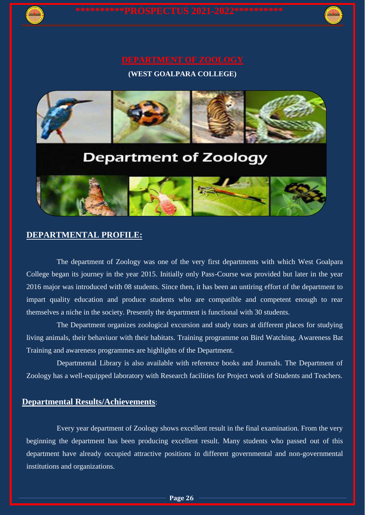

# **Department of Zoology**



### **DEPARTMENTAL PROFILE:**

The department of Zoology was one of the very first departments with which West Goalpara College began its journey in the year 2015. Initially only Pass-Course was provided but later in the year 2016 major was introduced with 08 students. Since then, it has been an untiring effort of the department to impart quality education and produce students who are compatible and competent enough to rear themselves a niche in the society. Presently the department is functional with 30 students.

The Department organizes zoological excursion and study tours at different places for studying living animals, their behaviuor with their habitats. Training programme on Bird Watching, Awareness Bat Training and awareness programmes are highlights of the Department.

Departmental Library is also available with reference books and Journals. The Department of Zoology has a well-equipped laboratory with Research facilities for Project work of Students and Teachers.

### **Departmental Results/Achievements**:

Every year department of Zoology shows excellent result in the final examination. From the very beginning the department has been producing excellent result. Many students who passed out of this department have already occupied attractive positions in different governmental and non-governmental institutions and organizations.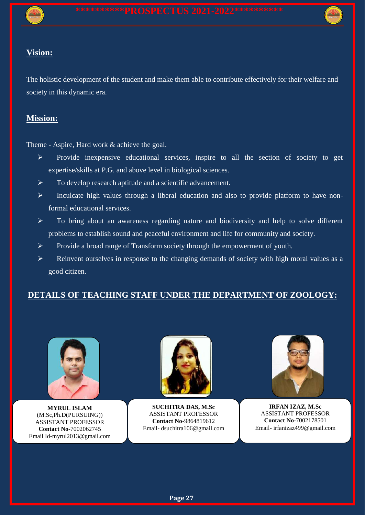## **Vision:**

The holistic development of the student and make them able to contribute effectively for their welfare and society in this dynamic era.

## **Mission:**

Theme - Aspire, Hard work & achieve the goal.

- $\triangleright$  Provide inexpensive educational services, inspire to all the section of society to get expertise/skills at P.G. and above level in biological sciences.
- $\triangleright$  To develop research aptitude and a scientific advancement.
- $\triangleright$  Inculcate high values through a liberal education and also to provide platform to have nonformal educational services.
- To bring about an awareness regarding nature and biodiversity and help to solve different problems to establish sound and peaceful environment and life for community and society.
- Provide a broad range of Transform society through the empowerment of youth.
- $\triangleright$  Reinvent ourselves in response to the changing demands of society with high moral values as a good citizen.

## **DETAILS OF TEACHING STAFF UNDER THE DEPARTMENT OF ZOOLOGY:**



**MYRUL ISLAM**  (M.Sc,Ph.D(PURSUING)) ASSISTANT PROFESSOR **Contact No-**7002062745 Email Id-myrul2013@gmail.com



**SUCHITRA DAS, M.Sc** ASSISTANT PROFESSOR **Contact No**-9864819612 Email- dsuchitra106@gmail.com



**IRFAN IZAZ, M.Sc** ASSISTANT PROFESSOR **Contact No**-7002178501 Email- irfanizaz499@gmail.com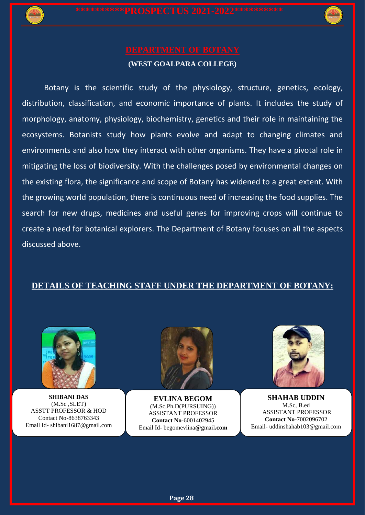

Botany is the scientific study of the physiology, structure, genetics, ecology, distribution, classification, and economic importance of plants. It includes the study of morphology, anatomy, physiology, biochemistry, genetics and their role in maintaining the ecosystems. Botanists study how plants evolve and adapt to changing climates and environments and also how they interact with other organisms. They have a pivotal role in mitigating the loss of biodiversity. With the challenges posed by environmental changes on the existing flora, the significance and scope of Botany has widened to a great extent. With the growing world population, there is continuous need of increasing the food supplies. The search for new drugs, medicines and useful genes for improving crops will continue to create a need for botanical explorers. The Department of Botany focuses on all the aspects discussed above.

## **DETAILS OF TEACHING STAFF UNDER THE DEPARTMENT OF BOTANY:**



**SHIBANI DAS** (M.Sc ,SLET) ASSTT PROFESSOR & HOD Contact No-8638763343 Email Id- shibani1687@gmail.com



**EVLINA BEGOM** (M.Sc,Ph.D(PURSUING)) ASSISTANT PROFESSOR **Contact No-**6001402945 Email Id- begomevlina**@**gmail**.com**



**SHAHAB UDDIN** M.Sc, B.ed ASSISTANT PROFESSOR **Contact No**-7002096702 Email- uddinshahab103@gmail.com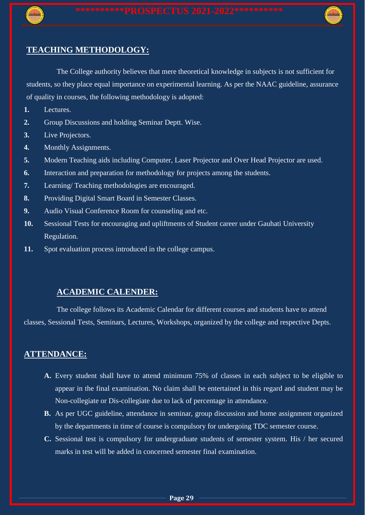

### **TEACHING METHODOLOGY:**

The College authority believes that mere theoretical knowledge in subjects is not sufficient for students, so they place equal importance on experimental learning. As per the NAAC guideline, assurance of quality in courses, the following methodology is adopted:

- **1.** Lectures.
- **2.** Group Discussions and holding Seminar Deptt. Wise.
- **3.** Live Projectors.
- **4.** Monthly Assignments.
- **5.** Modern Teaching aids including Computer, Laser Projector and Over Head Projector are used.
- **6.** Interaction and preparation for methodology for projects among the students.
- **7.** Learning/ Teaching methodologies are encouraged.
- **8.** Providing Digital Smart Board in Semester Classes.
- **9.** Audio Visual Conference Room for counseling and etc.
- **10.** Sessional Tests for encouraging and upliftments of Student career under Gauhati University Regulation.
- **11.** Spot evaluation process introduced in the college campus.

### **ACADEMIC CALENDER:**

The college follows its Academic Calendar for different courses and students have to attend classes, Sessional Tests, Seminars, Lectures, Workshops, organized by the college and respective Depts.

### **ATTENDANCE:**

- **A.** Every student shall have to attend minimum 75% of classes in each subject to be eligible to appear in the final examination. No claim shall be entertained in this regard and student may be Non-collegiate or Dis-collegiate due to lack of percentage in attendance.
- **B.** As per UGC guideline, attendance in seminar, group discussion and home assignment organized by the departments in time of course is compulsory for undergoing TDC semester course.
- **C.** Sessional test is compulsory for undergraduate students of semester system. His / her secured marks in test will be added in concerned semester final examination.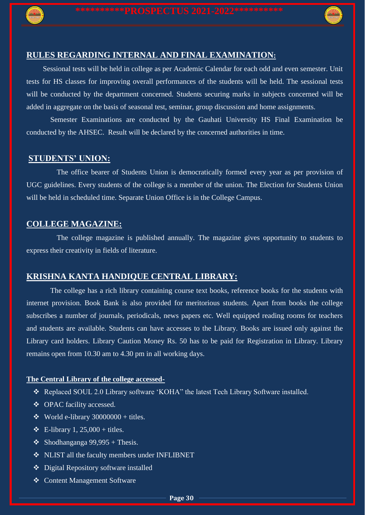

### **RULES REGARDING INTERNAL AND FINAL EXAMINATION:**

Sessional tests will be held in college as per Academic Calendar for each odd and even semester. Unit tests for HS classes for improving overall performances of the students will be held. The sessional tests will be conducted by the department concerned. Students securing marks in subjects concerned will be added in aggregate on the basis of seasonal test, seminar, group discussion and home assignments.

 Semester Examinations are conducted by the Gauhati University HS Final Examination be conducted by the AHSEC. Result will be declared by the concerned authorities in time.

### **STUDENTS' UNION:**

The office bearer of Students Union is democratically formed every year as per provision of UGC guidelines. Every students of the college is a member of the union. The Election for Students Union will be held in scheduled time. Separate Union Office is in the College Campus.

### **COLLEGE MAGAZINE:**

The college magazine is published annually. The magazine gives opportunity to students to express their creativity in fields of literature.

### **KRISHNA KANTA HANDIQUE CENTRAL LIBRARY:**

 The college has a rich library containing course text books, reference books for the students with internet provision. Book Bank is also provided for meritorious students. Apart from books the college subscribes a number of journals, periodicals, news papers etc. Well equipped reading rooms for teachers and students are available. Students can have accesses to the Library. Books are issued only against the Library card holders. Library Caution Money Rs. 50 has to be paid for Registration in Library. Library remains open from 10.30 am to 4.30 pm in all working days.

### **The Central Library of the college accessed-**

- Replaced SOUL 2.0 Library software 'KOHA" the latest Tech Library Software installed.
- ❖ OPAC facility accessed.
- $\bullet$  World e-library 30000000 + titles.
- $\div$  E-library 1, 25,000 + titles.
- $\div$  Shodhanganga 99,995 + Thesis.
- \* NLIST all the faculty members under INFLIBNET
- Digital Repository software installed
- **❖** Content Management Software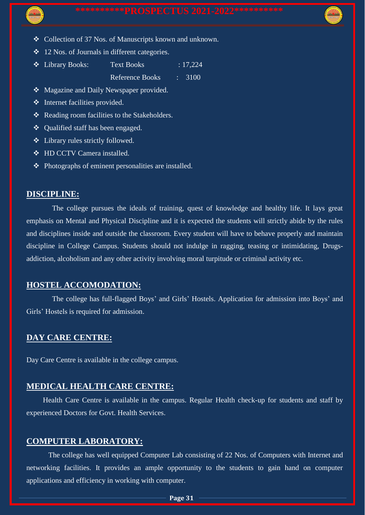- Collection of 37 Nos. of Manuscripts known and unknown.
- 12 Nos. of Journals in different categories.
- Library Books: Text Books : 17,224 Reference Books : 3100
- ◆ Magazine and Daily Newspaper provided.
- $\triangleleft$  Internet facilities provided.
- $\triangle$  Reading room facilities to the Stakeholders.
- Qualified staff has been engaged.
- Library rules strictly followed.
- **❖** HD CCTV Camera installed
- $\triangle$  Photographs of eminent personalities are installed.

### **DISCIPLINE:**

 The college pursues the ideals of training, quest of knowledge and healthy life. It lays great emphasis on Mental and Physical Discipline and it is expected the students will strictly abide by the rules and disciplines inside and outside the classroom. Every student will have to behave properly and maintain discipline in College Campus. Students should not indulge in ragging, teasing or intimidating, Drugsaddiction, alcoholism and any other activity involving moral turpitude or criminal activity etc.

### **HOSTEL ACCOMODATION:**

The college has full-flagged Boys' and Girls' Hostels. Application for admission into Boys' and Girls' Hostels is required for admission.

## **DAY CARE CENTRE:**

Day Care Centre is available in the college campus.

## **MEDICAL HEALTH CARE CENTRE:**

Health Care Centre is available in the campus. Regular Health check-up for students and staff by experienced Doctors for Govt. Health Services.

## **COMPUTER LABORATORY:**

The college has well equipped Computer Lab consisting of 22 Nos. of Computers with Internet and networking facilities. It provides an ample opportunity to the students to gain hand on computer applications and efficiency in working with computer.

**Page 31**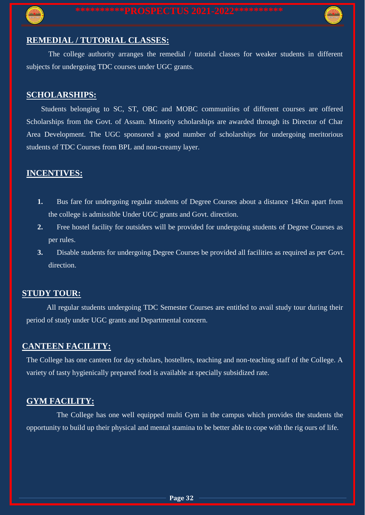



## **REMEDIAL / TUTORIAL CLASSES:**

The college authority arranges the remedial / tutorial classes for weaker students in different subjects for undergoing TDC courses under UGC grants.

### **SCHOLARSHIPS:**

Students belonging to SC, ST, OBC and MOBC communities of different courses are offered Scholarships from the Govt. of Assam. Minority scholarships are awarded through its Director of Char Area Development. The UGC sponsored a good number of scholarships for undergoing meritorious students of TDC Courses from BPL and non-creamy layer.

## **INCENTIVES:**

- **1.** Bus fare for undergoing regular students of Degree Courses about a distance 14Km apart from the college is admissible Under UGC grants and Govt. direction.
- **2.** Free hostel facility for outsiders will be provided for undergoing students of Degree Courses as per rules.
- **3.** Disable students for undergoing Degree Courses be provided all facilities as required as per Govt. direction.

### **STUDY TOUR:**

All regular students undergoing TDC Semester Courses are entitled to avail study tour during their period of study under UGC grants and Departmental concern.

## **CANTEEN FACILITY:**

The College has one canteen for day scholars, hostellers, teaching and non-teaching staff of the College. A variety of tasty hygienically prepared food is available at specially subsidized rate.

## **GYM FACILITY:**

The College has one well equipped multi Gym in the campus which provides the students the opportunity to build up their physical and mental stamina to be better able to cope with the rig ours of life.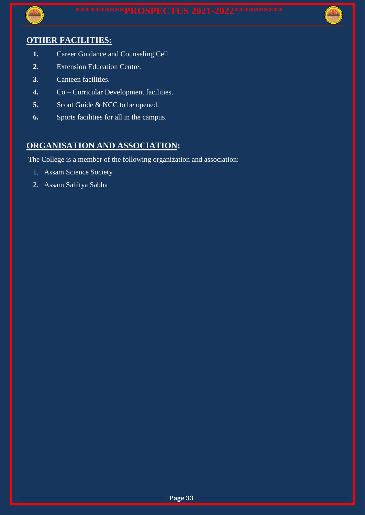

## **OTHER FACILITIES:**

- **1.** Career Guidance and Counseling Cell.
- **2.** Extension Education Centre.
- **3.** Canteen facilities.
- **4.** Co Curricular Development facilities.
- **5.** Scout Guide & NCC to be opened.
- **6.** Sports facilities for all in the campus.

## **ORGANISATION AND ASSOCIATION:**

The College is a member of the following organization and association:

- 1. Assam Science Society
- 2. Assam Sahitya Sabha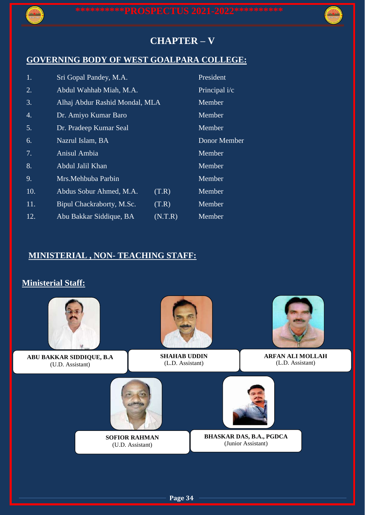

# **CHAPTER – V**

# **GOVERNING BODY OF WEST GOALPARA COLLEGE:**

| 1.  | Sri Gopal Pandey, M.A.         |         | President     |
|-----|--------------------------------|---------|---------------|
| 2.  | Abdul Wahhab Miah, M.A.        |         | Principal i/c |
| 3.  | Alhaj Abdur Rashid Mondal, MLA |         | Member        |
| 4.  | Dr. Amiyo Kumar Baro           |         | Member        |
| 5.  | Dr. Pradeep Kumar Seal         |         | Member        |
| 6.  | Nazrul Islam, BA               |         | Donor Member  |
| 7.  | Anisul Ambia                   |         | Member        |
| 8.  | Abdul Jalil Khan               |         | Member        |
| 9.  | Mrs.Mehbuba Parbin             |         | Member        |
| 10. | Abdus Sobur Ahmed, M.A.        | (T.R)   | Member        |
| 11. | Bipul Chackraborty, M.Sc.      | (T.R)   | Member        |
| 12. | Abu Bakkar Siddique, BA        | (N.T.R) | Member        |

## **MINISTERIAL , NON- TEACHING STAFF:**

# **Ministerial Staff:**



**ABU BAKKAR SIDDIQUE, B.A** (U.D. Assistant)



**SHAHAB UDDIN** (L.D. Assistant)



**ARFAN ALI MOLLAH** (L.D. Assistant)



**SOFIOR RAHMAN** (U.D. Assistant)



**BHASKAR DAS, B.A., PGDCA** (Junior Assistant)

**Page 34**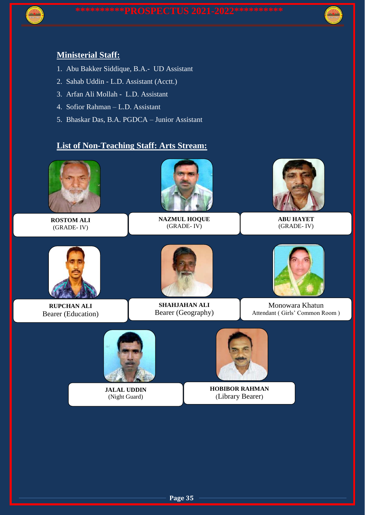

## **Ministerial Staff:**

- 1. Abu Bakker Siddique, B.A.- UD Assistant
- 2. Sahab Uddin L.D. Assistant (Acctt.)
- 3. Arfan Ali Mollah L.D. Assistant
- 4. Sofior Rahman L.D. Assistant
- 5. Bhaskar Das, B.A. PGDCA Junior Assistant

## **List of Non-Teaching Staff: Arts Stream:**

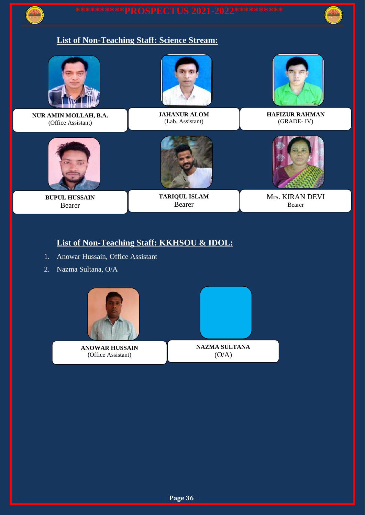

# **List of Non-Teaching Staff: Science Stream:**



**NUR AMIN MOLLAH, B.A.** (Office Assistant)



**BUPUL HUSSAIN** Bearer



**JAHANUR ALOM** (Lab. Assistant)



**HAFIZUR RAHMAN** (GRADE- IV)



**TARIQUL ISLAM** Bearer



Mrs. KIRAN DEVI Bearer

## **List of Non-Teaching Staff: KKHSOU & IDOL:**

- 1. Anowar Hussain, Office Assistant
- 2. Nazma Sultana, O/A



**ANOWAR HUSSAIN** (Office Assistant)



 $(O/A)$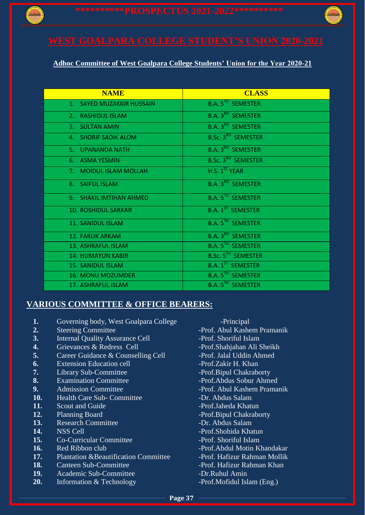

# **WEST GOALPARA COLLEGE STUDENT'S UNION 2020-2021**

### **Adhoc Committee of West Goalpara College Students' Union for the Year 2020-21**

| <b>NAME</b>                | <b>CLASS</b>                         |
|----------------------------|--------------------------------------|
| 1. SAYED MUZAKKIR HUSSAIN  | <b>B.A. 5TH SEMESTER</b>             |
| 2. RASHIDUL ISLAM          | <b>B.A. 3<sup>RD</sup> SEMESTER</b>  |
| 3. SULTAN AMIN             | <b>B.A. 3<sup>RD</sup> SEMESTER</b>  |
| 4. SHORIF SADIK ALOM       | <b>B.Sc. 3<sup>RD</sup> SEMESTER</b> |
| 5. UPANANDA NATH           | <b>B.A. 3<sup>RD</sup> SEMESTER</b>  |
| 6. ASMA YESMIN             | <b>B.Sc. 3<sup>RD</sup> SEMESTER</b> |
| 7. MOIDUL ISLAM MOLLAH     | H.S. 1 <sup>ST</sup> YEAR            |
| 8. SAIFUL ISLAM            | <b>B.A. 3<sup>RD</sup> SEMESTER</b>  |
| 9. SHAKIL IMTIHAN AHMED    | <b>B.A. 5<sup>TH</sup> SEMESTER</b>  |
| <b>10. ROSHIDUL SARKAR</b> | <b>B.A. 1<sup>ST</sup> SEMESTER</b>  |
| 11. SANIDUL ISLAM          | <b>B.A. 5<sup>TH</sup> SEMESTER</b>  |
| 12. FARUK ARKAM            | <b>B.A. 3<sup>RD</sup> SEMESTER</b>  |
| 13. ASHRAFUL ISLAM         | <b>B.A. 5<sup>TH</sup> SEMESTER</b>  |
| <b>14. HUMAYUN KABIR</b>   | <b>B.Sc. 5<sup>TH</sup> SEMESTER</b> |
| <b>15. SANIDUL ISLAM</b>   | <b>B.A. 1<sup>ST</sup> SEMESTER</b>  |
| <b>16. MONU MOZUMDER</b>   | <b>B.A. 5TH SEMESTER</b>             |
| 17. ASHRAFUL ISLAM         | <b>B.A. 5TH SEMESTER</b>             |

## **VARIOUS COMMITTEE & OFFICE BEARERS:**

- **1.** Governing body, West Goalpara College -Principal
- 
- **3.** Internal Quality Assurance Cell -Prof. Shoriful Islam
- **4.** Grievances & Redress Cell -Prof.Shahjahan Ali Sheikh
- **5.** Career Guidance & Counselling Cell -Prof. Jalal Uddin Ahmed
- **6.** Extension Education cell -Prof.Zakir H. Khan
- 
- 
- 
- **10.** Health Care Sub- Committee -Dr. Abdus Salam
- **11.** Scout and Guide **-Prof.Jaheda Khatun**
- 
- **13.** Research Committee **-Dr. Abdus Salam**
- 
- **15.** Co-Curricular Committee The Shoriful Islam
- 
- **17.** Plantation &Beautification Committee Prof. Hafizur Rahman Mollik
- 
- **19.** Academic Sub-Committee -Dr.Ruhul Amin
- **20.** Information & Technology -Prof.Mofidul Islam (Eng.)
- 2. Steering Committee The Steering Committee Prof. Abul Kashem Pramanik **7.** Library Sub-Committee - The Prof.Bipul Chakraborty<br> **8.** Examination Committee - Prof.Abdus Sobur Ahm **8.** Examination Committee - The Prof.Abdus Sobur Ahmed **9.** Admission Committee **-** Admission Committee - Admission Committee - Admission Abul Kashem Pramanik **12.** Planning Board **-Prof.Bipul Chakraborty 14.** NSS Cell **15.** Co-Curricular Committee **15.** Prof.Shohida Khatun **15.** Co-Curricular Committee **15.** Prof. Shoriful Islam **16.** Red Ribbon club **-Prof.** Abdul Motin Khandakar 18. Canteen Sub-Committee - Prof. Hafizur Rahman Khan
	-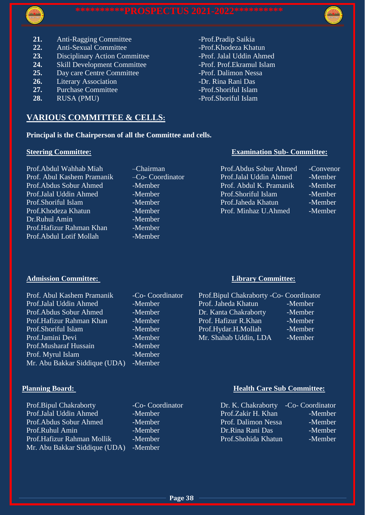



- **21.** Anti-Ragging Committee -Prof.Pradip Saikia
- 22. Anti-Sexual Committee Prof.Khodeza Khatun
- 23. Disciplinary Action Committee -Prof. Jalal Uddin Ahmed
- 24. Skill Development Committee -Prof. Prof. Ekramul Islam
- 25. Day care Centre Committee -Prof. Dalimon Nessa
- **26.** Literary Association Dr. Rina Rani Das
- **27.** Purchase Committee **-Prof.Shoriful Islam**
- **28.** RUSA (PMU) Prof.Shoriful Islam

## **VARIOUS COMMITTEE & CELLS:**

### **Principal is the Chairperson of all the Committee and cells.**

Prof.Abdul Wahhab Miah – <sup>—</sup>Chairman Prof. Abul Kashem Pramanik – Co- Coordinator Prof. Abdus Sobur Ahmed -Member Prof.Jalal Uddin Ahmed -Member Prof.Shoriful Islam -Member Prof. Khodeza Khatun - Member Dr.Ruhul Amin - Member Prof.Hafizur Rahman Khan -Member Prof. Abdul Lotif Mollah -Member

### **Admission Committee: Library Committee:**

### Prof. Abul Kashem Pramanik - Co- Coordinator Prof.Jalal Uddin Ahmed -Member Prof.Abdus Sobur Ahmed -Member Prof. Hafizur Rahman Khan -Member Prof.Shoriful Islam -Member Prof.Jamini Devi - Member Prof.Musharaf Hussain -Member Prof. Myrul Islam -Member Mr. Abu Bakkar Siddique (UDA) -Member

Prof.Bipul Chakraborty -Co- Coordinator Prof.Jalal Uddin Ahmed -Member Prof.Abdus Sobur Ahmed -Member Prof.Ruhul Amin -Member Prof.Hafizur Rahman Mollik -Member Mr. Abu Bakkar Siddique (UDA) -Member

### **Steering Committee: Examination Sub- Committee:**

| Prof.Abdus Sobur Ahmed  | -Conveno |
|-------------------------|----------|
| Prof.Jalal Uddin Ahmed  | -Member  |
| Prof. Abdul K. Pramanik | -Member  |
| Prof.Shoriful Islam     | -Member  |
| Prof.Jaheda Khatun      | -Member  |
| Prof. Minhaz U.Ahmed    | -Member  |

| Prof.Bipul Chakraborty -Co- Coordinator |         |
|-----------------------------------------|---------|
| Prof. Jaheda Khatun                     | -Member |
| Dr. Kanta Chakraborty                   | -Member |
| Prof. Hafizur R.Khan                    | -Member |
| Prof.Hydar.H.Mollah                     | -Member |
| Mr. Shahab Uddin, LDA                   | -Member |

### **Planning Board: Health Care Sub Committee:**

| Dr. K. Chakraborty               | -Co- Coordinator |
|----------------------------------|------------------|
| Prof.Zakir H. Khan               | -Member          |
| Prof. Dalimon Nessa              | -Member          |
| Dr.Rina Rani Das                 | -Member          |
| Prof.Shohi <del>d</del> a Khatun | -Member          |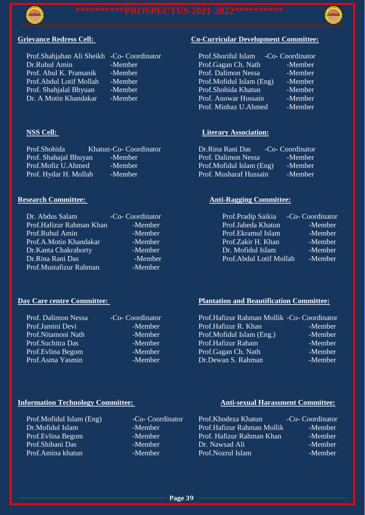



Prof.Shahjahan Ali Sheikh -Co- Coordinator<br>Dr Ruhul Amin -Member Dr.Ruhul Amin -Member<br>Prof. Abul K. Pramanik -Member Prof. Abul K. Pramanik Prof.Abdul Lotif Mollah -Member Prof. Shahjalal Bhyuan -Member Dr. A Motin Khandakar -Member

| Prof.Shohida          | Khatun-Co- Coordinator | Dr.Rina Rani Das         | -Co- Coordinator |
|-----------------------|------------------------|--------------------------|------------------|
| Prof. Shahajal Bhuyan | -Member                | Prof. Dalimon Nessa      | -Member          |
| Prof.Mofiz U.Ahmed    | -Member                | Prof.Mofidul Islam (Eng) | -Member          |
| Prof. Hydar H. Mollah | -Member                | Prof. Musharaf Hussain   | -Member          |

| Dr. Abdus Salam          | -Co- Coordinator | Prof.Pradip Saikia      | -Co- Coordinator |
|--------------------------|------------------|-------------------------|------------------|
| Prof.Hafizur Rahman Khan | -Member          | Prof.Jaheda Khatun      | -Member          |
| Prof.Ruhul Amin          | -Member          | Prof. Ekramul Islam     | -Member          |
| Prof.A.Motin Khandakar   | -Member          | Prof.Zakir H. Khan      | -Member          |
| Dr. Kanta Chakraborty    | -Member          | Dr. Mofidul Islam       | -Member          |
| Dr.Rina Rani Das         | -Member          | Prof.Abdul Lotif Mollah | -Member          |
| Prof.Mustafizur Rahman   | -Member          |                         |                  |

| Prof. Dalimon Nessa | -Co- Coordinator |
|---------------------|------------------|
| Prof.Jamini Devi    | -Member          |
| Prof.Nitamoni Nath  | -Member          |
| Prof.Suchitra Das   | -Member          |
| Prof. Evlina Begom  | -Member          |
| Prof.Asma Yasmin    | -Member          |

# **Grievance Redress Cell: Co-Curricular Development Committee:**

| Prof.Shoriful Islam      | -Co- Coordinator |
|--------------------------|------------------|
| Prof.Gagan Ch. Nath      | -Member          |
| Prof. Dalimon Nessa      | -Member          |
| Prof.Mofidul Islam (Eng) | -Member          |
| Prof.Shohida Khatun      | -Member          |
| Prof. Anowar Hussain     | -Member          |
| Prof. Minhaz U.Ahmed     | -Member          |
|                          |                  |

### **NSS Cell: Literary Association:**

| Dr.Rina Rani Das         | -Co- Coordinator     |
|--------------------------|----------------------|
| Prof. Dalimon Nessa      | -Member              |
| Prof.Mofidul Islam (Eng) | -Member'             |
| Prof. Musharaf Hussain   | -Member <sup>1</sup> |

### **Research Committee:** Anti-Ragging Committee:

| Prof.Pradip Saikia      | -Co- Coordinator |
|-------------------------|------------------|
| Prof.Jaheda Khatun      | -Member          |
| Prof. Ekramul Islam     | -Member          |
| Prof.Zakir H. Khan      | -Member          |
| Dr. Mofidul Islam       | -Member          |
| Prof.Abdul Lotif Mollah | -Member          |

# **Day Care centre Committee:** Plantation and Beautification Committee:

| Prof. Dalimon Nessa | -Co- Coordinator | Prof.Hafizur Rahman Mollik -Co- Coordinator |         |
|---------------------|------------------|---------------------------------------------|---------|
| Prof.Jamini Devi    | -Member          | Prof.Hafizur R. Khan                        | -Member |
| Prof.Nitamoni Nath  | -Member          | Prof.Mofidul Islam (Eng.)                   | -Member |
| Prof.Suchitra Das   | -Member          | Prof.Hafizur Raham                          | -Member |
| Prof. Evlina Begom  | -Member          | Prof.Gagan Ch. Nath                         | -Member |
| Prof.Asma Yasmin    | -Member          | Dr.Dewan S. Rahman                          | -Member |
|                     |                  |                                             |         |

## **Information Technology Committee:** Anti-sexual Harassment Committee:

| Prof.Mofidul Islam (Eng) | -Co- Coordinator | Prof.Khodeza Khatun        | -Co- Coordinator |
|--------------------------|------------------|----------------------------|------------------|
| Dr.Mofidul Islam         | -Member          | Prof.Hafizur Rahman Mollik | -Member          |
| Prof. Evlina Begom       | -Member          | Prof. Hafizur Rahman Khan  | -Member          |
| Prof.Shibani Das         | -Member          | Dr. Nawsad Ali             | -Member          |
| Prof.Amina khatun        | -Member          | Prof.Nozrul Islam          | -Member          |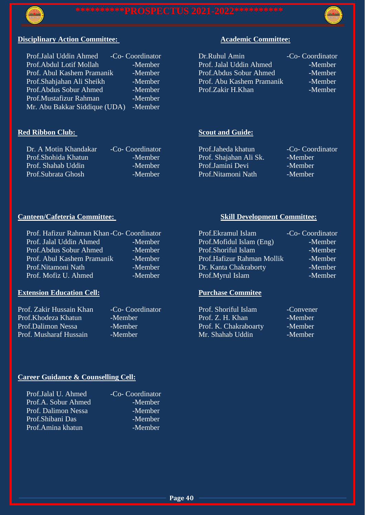



### **Disciplinary Action Committee:** Academic Committee:

| -Co- Coordinator                         | Dr.Ruhul Amin             | -Co- Coordinator |
|------------------------------------------|---------------------------|------------------|
| -Member                                  | Prof. Jalal Uddin Ahmed   | -Member          |
| -Member                                  | Prof.Abdus Sobur Ahmed    | -Member          |
| -Member                                  | Prof. Abu Kashem Pramanik | -Member          |
| -Member                                  | Prof.Zakir H.Khan         | -Member          |
| -Member                                  |                           |                  |
| Mr. Abu Bakkar Siddique (UDA)<br>-Member |                           |                  |
|                                          |                           |                  |

Dr. A Motin Khandakar -Co- Coordinator Prof.Shohida Khatun -Member Prof. Shahab Uddin -Member Prof.Subrata Ghosh -Member

## **Red Ribbon Club:** Scout and Guide:

| Prof.Jalal Uddin Ahmed       | -Co- Coordinator | Dr.Ruhul Amin             | -Co- Coordinator |
|------------------------------|------------------|---------------------------|------------------|
| Prof.Abdul Lotif Mollah      | -Member          | Prof. Jalal Uddin Ahmed   | -Member          |
| Prof. Abul Kashem Pramanik ' | -Member          | Prof. Abdus Sobur Ahmed   | -Member          |
| Prof.Shahjahan Ali Sheikh    | -Member          | Prof. Abu Kashem Pramanik | -Member          |
| Prof.Abdus Sobur Ahmed       | -Member          | Prof.Zakir H.Khan         | -Member          |

| Prof.Jaheda khatun     | -Co- Coordinator |
|------------------------|------------------|
| Prof. Shajahan Ali Sk. | -Member          |
| Prof.Jamini Devi       | -Member          |
| Prof.Nitamoni Nath     | -Member          |
|                        |                  |

### **Canteen/Cafeteria Committee:** Skill Development Committee:

| Prof. Hafizur Rahman Khan-Co- Coordinator |         |
|-------------------------------------------|---------|
| Prof. Jalal Uddin Ahmed                   | -Member |
| Prof.Abdus Sobur Ahmed                    | -Member |
| Prof. Abul Kashem Pramanik                | -Member |
| Prof.Nitamoni Nath                        | -Member |
| Prof. Mofiz U. Ahmed                      | -Member |

### **Extension Education Cell: Purchase Commitee**

| Prof. Zakir Hussain Khan | -Co- Coordinator | Prof. Shoriful Islam  | -Convener |
|--------------------------|------------------|-----------------------|-----------|
| Prof.Khodeza Khatun      | -Member          | Prof. Z. H. Khan      | -Member   |
| Prof.Dalimon Nessa       | -Member          | Prof. K. Chakraboarty | -Member   |
| Prof. Musharaf Hussain   | -Member          | Mr. Shahab Uddin      | -Member   |

| Prof. Hafizur Rahman Khan-Co- Coordinator |         | Prof.Ekramul Islam         | -Co- Coordinator |
|-------------------------------------------|---------|----------------------------|------------------|
| Prof. Jalal Uddin Ahmed                   | -Member | Prof.Mofidul Islam (Eng)   | -Member          |
| Prof. Abdus Sobur Ahmed                   | -Member | Prof.Shoriful Islam        | -Member          |
| Prof. Abul Kashem Pramanik                | -Member | Prof.Hafizur Rahman Mollik | -Member          |
| Prof.Nitamoni Nath                        | -Member | Dr. Kanta Chakraborty      | -Member          |
| Prof. Mofiz U. Ahmed                      | -Member | Prof.Myrul Islam           | -Member          |

| Prof. Shoriful Islam  | -Convener |
|-----------------------|-----------|
| Prof. Z. H. Khan      | -Member   |
| Prof. K. Chakraboarty | -Member   |
| Mr. Shahab Uddin      | -Member   |

### **Career Guidance & Counselling Cell:**

| Prof.Jalal U. Ahmed | -Co- Coordinator |
|---------------------|------------------|
| Prof.A. Sobur Ahmed | -Member          |
| Prof. Dalimon Nessa | -Member          |
| Prof.Shibani Das    | -Member          |
| Prof.Amina khatun   | -Member          |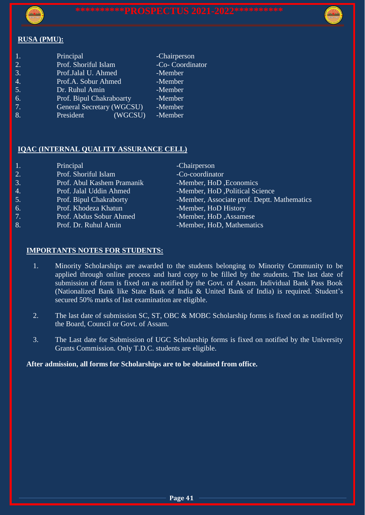

### **RUSA (PMU):**

| 1.               | Principal                        | -Chairperson     |
|------------------|----------------------------------|------------------|
| 2.               | Prof. Shoriful Islam             | -Co- Coordinator |
| $\overline{3}$ . | Prof.Jalal U. Ahmed              | -Member          |
| 4.               | Prof.A. Sobur Ahmed              | -Member          |
| 5.               | Dr. Ruhul Amin                   | -Member          |
| 6.               | Prof. Bipul Chakraboarty         | -Member          |
| 7.               | <b>General Secretary (WGCSU)</b> | -Member          |
| 8.               | (WGCSU)<br>President             | -Member          |
|                  |                                  |                  |

### **IQAC (INTERNAL QUALITY ASSURANCE CELL)**

| 1.                | Principal                  | -Chairperson                                |
|-------------------|----------------------------|---------------------------------------------|
| 2.                | Prof. Shoriful Islam       | -Co-coordinator                             |
| 3.                | Prof. Abul Kashem Pramanik | -Member, HoD, Economics                     |
| 4.                | Prof. Jalal Uddin Ahmed    | -Member, HoD, Political Science             |
| 5.                | Prof. Bipul Chakraborty    | -Member, Associate prof. Deptt. Mathematics |
| 6.                | Prof. Khodeza Khatun       | -Member, HoD History                        |
| 7.                | Prof. Abdus Sobur Ahmed    | -Member, HoD, Assamese                      |
| $\lceil 8 \rceil$ | Prof. Dr. Ruhul Amin       | -Member, HoD, Mathematics                   |
|                   |                            |                                             |

### **IMPORTANTS NOTES FOR STUDENTS:**

- 1. Minority Scholarships are awarded to the students belonging to Minority Community to be applied through online process and hard copy to be filled by the students. The last date of submission of form is fixed on as notified by the Govt. of Assam. Individual Bank Pass Book (Nationalized Bank like State Bank of India & United Bank of India) is required. Student's secured 50% marks of last examination are eligible.
- 2. The last date of submission SC, ST, OBC & MOBC Scholarship forms is fixed on as notified by the Board, Council or Govt. of Assam.
- 3. The Last date for Submission of UGC Scholarship forms is fixed on notified by the University Grants Commission. Only T.D.C. students are eligible.

### **After admission, all forms for Scholarships are to be obtained from office.**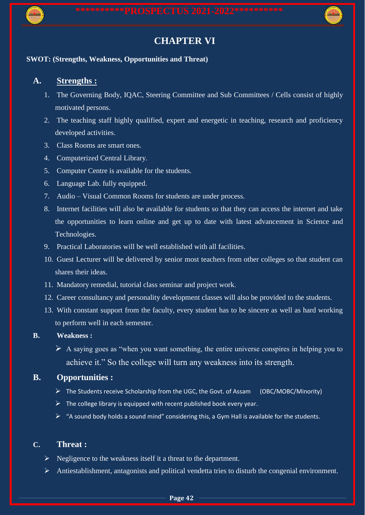

# **CHAPTER VI**

### **SWOT: (Strengths, Weakness, Opportunities and Threat)**

### **A. Strengths :**

- 1. The Governing Body, IQAC, Steering Committee and Sub Committees / Cells consist of highly motivated persons.
- 2. The teaching staff highly qualified, expert and energetic in teaching, research and proficiency developed activities.
- 3. Class Rooms are smart ones.
- 4. Computerized Central Library.
- 5. Computer Centre is available for the students.
- 6. Language Lab. fully equipped.
- 7. Audio Visual Common Rooms for students are under process.
- 8. Internet facilities will also be available for students so that they can access the internet and take the opportunities to learn online and get up to date with latest advancement in Science and Technologies.
- 9. Practical Laboratories will be well established with all facilities.
- 10. Guest Lecturer will be delivered by senior most teachers from other colleges so that student can shares their ideas.
- 11. Mandatory remedial, tutorial class seminar and project work.
- 12. Career consultancy and personality development classes will also be provided to the students.
- 13. With constant support from the faculty, every student has to be sincere as well as hard working to perform well in each semester.

### **B. Weakness :**

 $\triangleright$  A saying goes as "when you want something, the entire universe conspires in helping you to achieve it." So the college will turn any weakness into its strength.

### **B. Opportunities :**

- $\triangleright$  The Students receive Scholarship from the UGC, the Govt. of Assam (OBC/MOBC/Minority)
- $\triangleright$  The college library is equipped with recent published book every year.
- $\triangleright$  "A sound body holds a sound mind" considering this, a Gym Hall is available for the students.

### **C. Threat :**

- $\triangleright$  Negligence to the weakness itself it a threat to the department.
- $\triangleright$  Antiestablishment, antagonists and political vendetta tries to disturb the congenial environment.